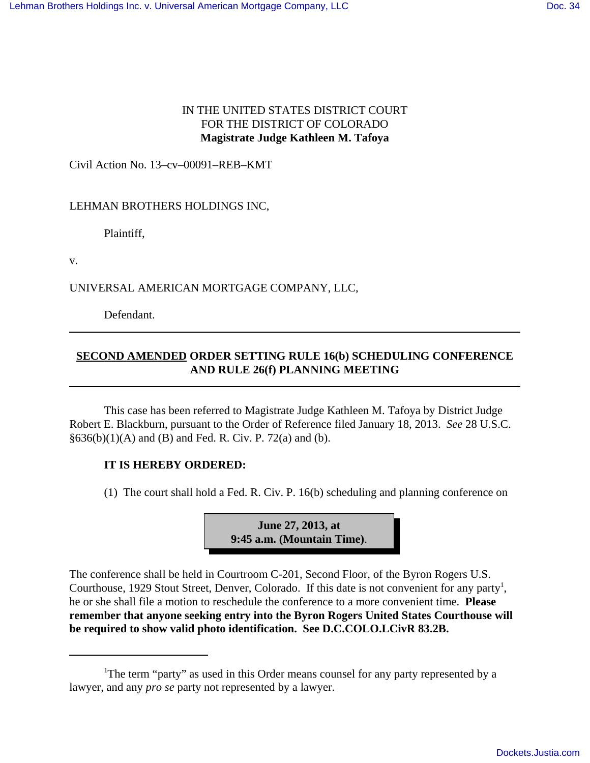## IN THE UNITED STATES DISTRICT COURT FOR THE DISTRICT OF COLORADO **Magistrate Judge Kathleen M. Tafoya**

Civil Action No. 13–cv–00091–REB–KMT

## LEHMAN BROTHERS HOLDINGS INC,

Plaintiff,

v.

UNIVERSAL AMERICAN MORTGAGE COMPANY, LLC,

Defendant.

## **SECOND AMENDED ORDER SETTING RULE 16(b) SCHEDULING CONFERENCE AND RULE 26(f) PLANNING MEETING**

This case has been referred to Magistrate Judge Kathleen M. Tafoya by District Judge Robert E. Blackburn, pursuant to the Order of Reference filed January 18, 2013. *See* 28 U.S.C.  $§636(b)(1)(A)$  and (B) and Fed. R. Civ. P. 72(a) and (b).

## **IT IS HEREBY ORDERED:**

(1) The court shall hold a Fed. R. Civ. P. 16(b) scheduling and planning conference on



The conference shall be held in Courtroom C-201, Second Floor, of the Byron Rogers U.S. Courthouse, 1929 Stout Street, Denver, Colorado. If this date is not convenient for any party<sup>1</sup>, he or she shall file a motion to reschedule the conference to a more convenient time. **Please remember that anyone seeking entry into the Byron Rogers United States Courthouse will be required to show valid photo identification. See D.C.COLO.LCivR 83.2B.**

<sup>&</sup>lt;sup>1</sup>The term "party" as used in this Order means counsel for any party represented by a lawyer, and any *pro se* party not represented by a lawyer.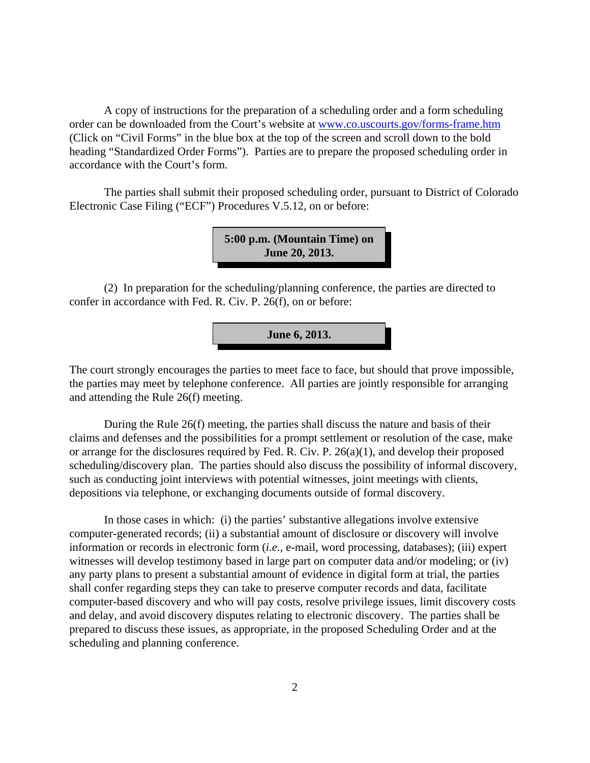A copy of instructions for the preparation of a scheduling order and a form scheduling order can be downloaded from the Court's website at www.co.uscourts.gov/forms-frame.htm (Click on "Civil Forms" in the blue box at the top of the screen and scroll down to the bold heading "Standardized Order Forms"). Parties are to prepare the proposed scheduling order in accordance with the Court's form.

The parties shall submit their proposed scheduling order, pursuant to District of Colorado Electronic Case Filing ("ECF") Procedures V.5.12, on or before:

> **5:00 p.m. (Mountain Time) on June 20, 2013.**

(2) In preparation for the scheduling/planning conference, the parties are directed to confer in accordance with Fed. R. Civ. P. 26(f), on or before:

**June 6, 2013.**

The court strongly encourages the parties to meet face to face, but should that prove impossible, the parties may meet by telephone conference. All parties are jointly responsible for arranging and attending the Rule 26(f) meeting.

During the Rule 26(f) meeting, the parties shall discuss the nature and basis of their claims and defenses and the possibilities for a prompt settlement or resolution of the case, make or arrange for the disclosures required by Fed. R. Civ. P. 26(a)(1), and develop their proposed scheduling/discovery plan. The parties should also discuss the possibility of informal discovery, such as conducting joint interviews with potential witnesses, joint meetings with clients, depositions via telephone, or exchanging documents outside of formal discovery.

In those cases in which: (i) the parties' substantive allegations involve extensive computer-generated records; (ii) a substantial amount of disclosure or discovery will involve information or records in electronic form (*i.e.,* e-mail, word processing, databases); (iii) expert witnesses will develop testimony based in large part on computer data and/or modeling; or (iv) any party plans to present a substantial amount of evidence in digital form at trial, the parties shall confer regarding steps they can take to preserve computer records and data, facilitate computer-based discovery and who will pay costs, resolve privilege issues, limit discovery costs and delay, and avoid discovery disputes relating to electronic discovery. The parties shall be prepared to discuss these issues, as appropriate, in the proposed Scheduling Order and at the scheduling and planning conference.